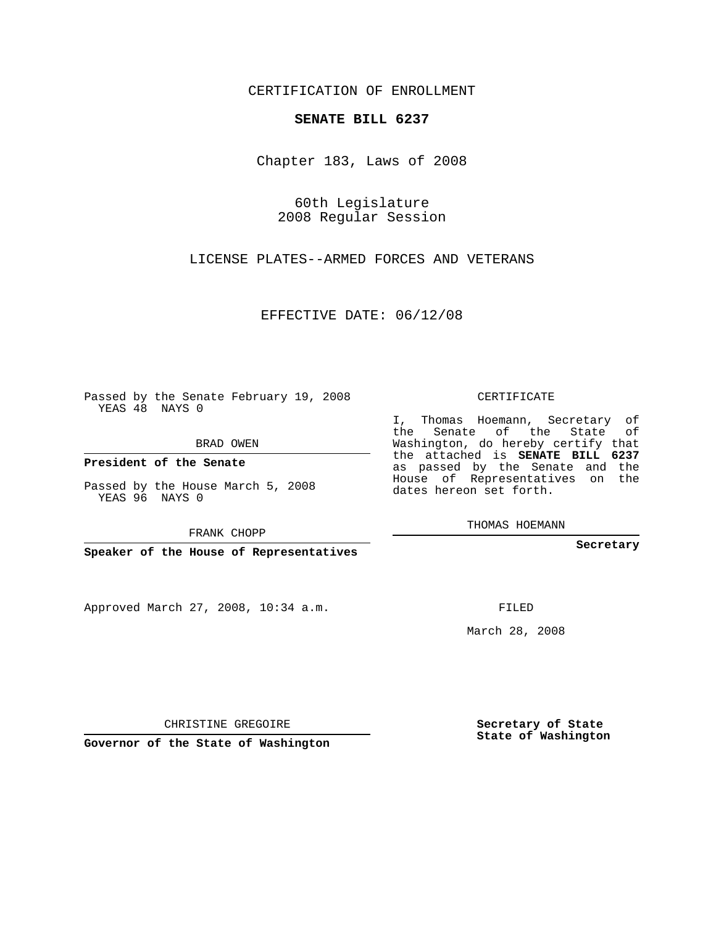CERTIFICATION OF ENROLLMENT

## **SENATE BILL 6237**

Chapter 183, Laws of 2008

60th Legislature 2008 Regular Session

LICENSE PLATES--ARMED FORCES AND VETERANS

EFFECTIVE DATE: 06/12/08

Passed by the Senate February 19, 2008 YEAS 48 NAYS 0

BRAD OWEN

**President of the Senate**

Passed by the House March 5, 2008 YEAS 96 NAYS 0

FRANK CHOPP

**Speaker of the House of Representatives**

Approved March 27, 2008, 10:34 a.m.

CERTIFICATE

I, Thomas Hoemann, Secretary of the Senate of the State of Washington, do hereby certify that the attached is **SENATE BILL 6237** as passed by the Senate and the House of Representatives on the dates hereon set forth.

THOMAS HOEMANN

**Secretary**

FILED

March 28, 2008

CHRISTINE GREGOIRE

**Governor of the State of Washington**

**Secretary of State State of Washington**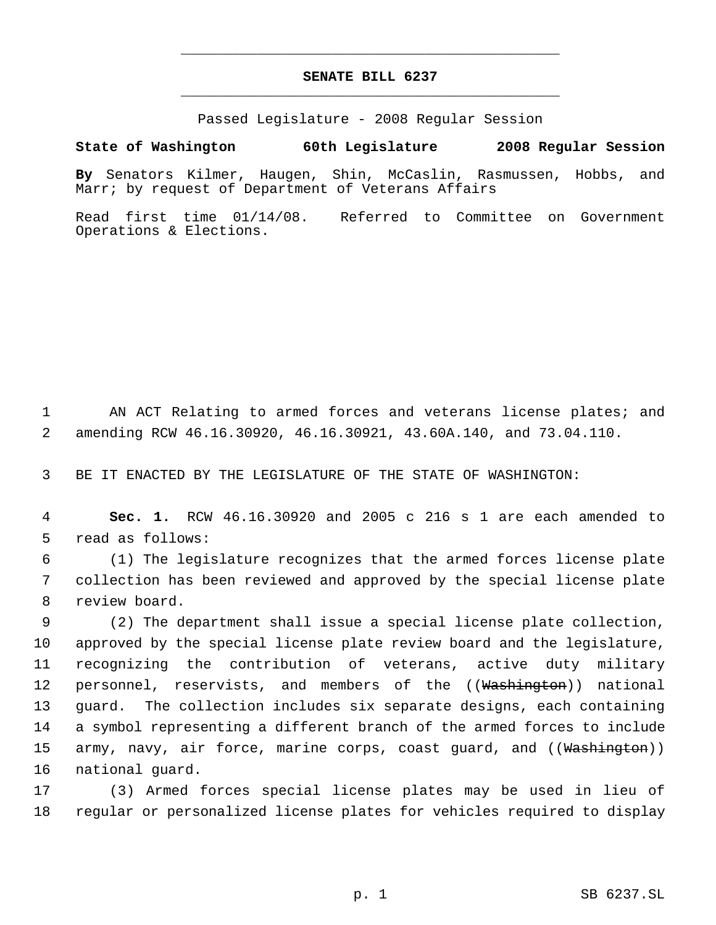## **SENATE BILL 6237** \_\_\_\_\_\_\_\_\_\_\_\_\_\_\_\_\_\_\_\_\_\_\_\_\_\_\_\_\_\_\_\_\_\_\_\_\_\_\_\_\_\_\_\_\_

\_\_\_\_\_\_\_\_\_\_\_\_\_\_\_\_\_\_\_\_\_\_\_\_\_\_\_\_\_\_\_\_\_\_\_\_\_\_\_\_\_\_\_\_\_

Passed Legislature - 2008 Regular Session

## **State of Washington 60th Legislature 2008 Regular Session**

**By** Senators Kilmer, Haugen, Shin, McCaslin, Rasmussen, Hobbs, and Marr; by request of Department of Veterans Affairs

Read first time 01/14/08. Referred to Committee on Government Operations & Elections.

1 AN ACT Relating to armed forces and veterans license plates; and 2 amending RCW 46.16.30920, 46.16.30921, 43.60A.140, and 73.04.110.

3 BE IT ENACTED BY THE LEGISLATURE OF THE STATE OF WASHINGTON:

 4 **Sec. 1.** RCW 46.16.30920 and 2005 c 216 s 1 are each amended to 5 read as follows:

 6 (1) The legislature recognizes that the armed forces license plate 7 collection has been reviewed and approved by the special license plate 8 review board.

 (2) The department shall issue a special license plate collection, approved by the special license plate review board and the legislature, recognizing the contribution of veterans, active duty military 12 personnel, reservists, and members of the ((Washington)) national guard. The collection includes six separate designs, each containing a symbol representing a different branch of the armed forces to include 15 army, navy, air force, marine corps, coast guard, and ((<del>Washington</del>)) national guard.

17 (3) Armed forces special license plates may be used in lieu of 18 regular or personalized license plates for vehicles required to display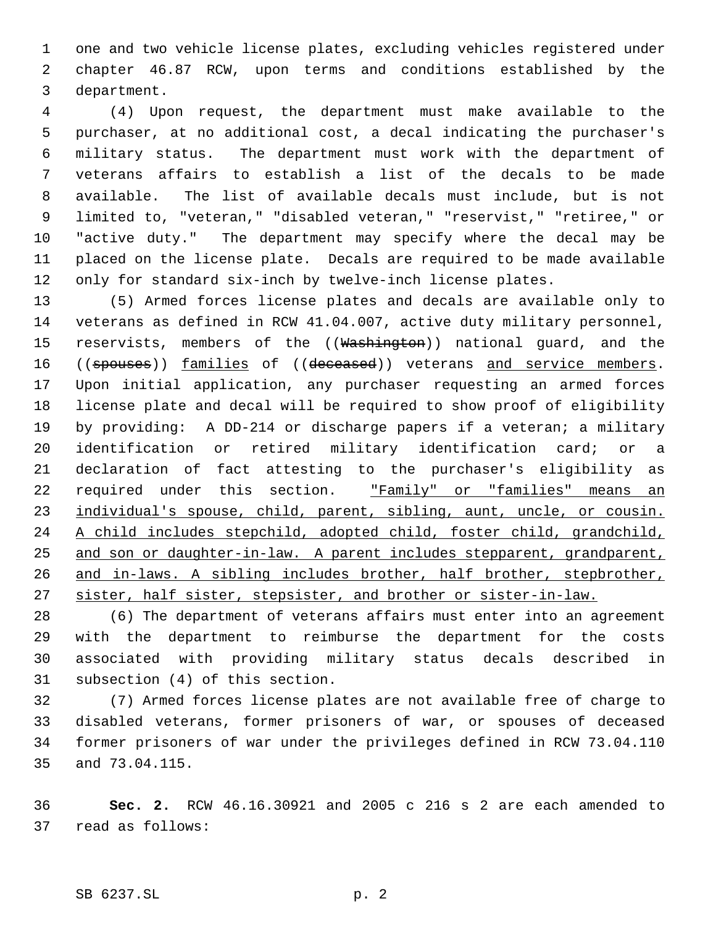one and two vehicle license plates, excluding vehicles registered under chapter 46.87 RCW, upon terms and conditions established by the department.

 (4) Upon request, the department must make available to the purchaser, at no additional cost, a decal indicating the purchaser's military status. The department must work with the department of veterans affairs to establish a list of the decals to be made available. The list of available decals must include, but is not limited to, "veteran," "disabled veteran," "reservist," "retiree," or "active duty." The department may specify where the decal may be placed on the license plate. Decals are required to be made available only for standard six-inch by twelve-inch license plates.

 (5) Armed forces license plates and decals are available only to veterans as defined in RCW 41.04.007, active duty military personnel, 15 reservists, members of the ((Washington)) national guard, and the 16 ((spouses)) families of ((deceased)) veterans and service members. Upon initial application, any purchaser requesting an armed forces license plate and decal will be required to show proof of eligibility by providing: A DD-214 or discharge papers if a veteran; a military identification or retired military identification card; or a declaration of fact attesting to the purchaser's eligibility as 22 required under this section. "Family" or "families" means an 23 individual's spouse, child, parent, sibling, aunt, uncle, or cousin. A child includes stepchild, adopted child, foster child, grandchild, and son or daughter-in-law. A parent includes stepparent, grandparent, and in-laws. A sibling includes brother, half brother, stepbrother, sister, half sister, stepsister, and brother or sister-in-law.

 (6) The department of veterans affairs must enter into an agreement with the department to reimburse the department for the costs associated with providing military status decals described in subsection (4) of this section.

 (7) Armed forces license plates are not available free of charge to disabled veterans, former prisoners of war, or spouses of deceased former prisoners of war under the privileges defined in RCW 73.04.110 and 73.04.115.

 **Sec. 2.** RCW 46.16.30921 and 2005 c 216 s 2 are each amended to read as follows: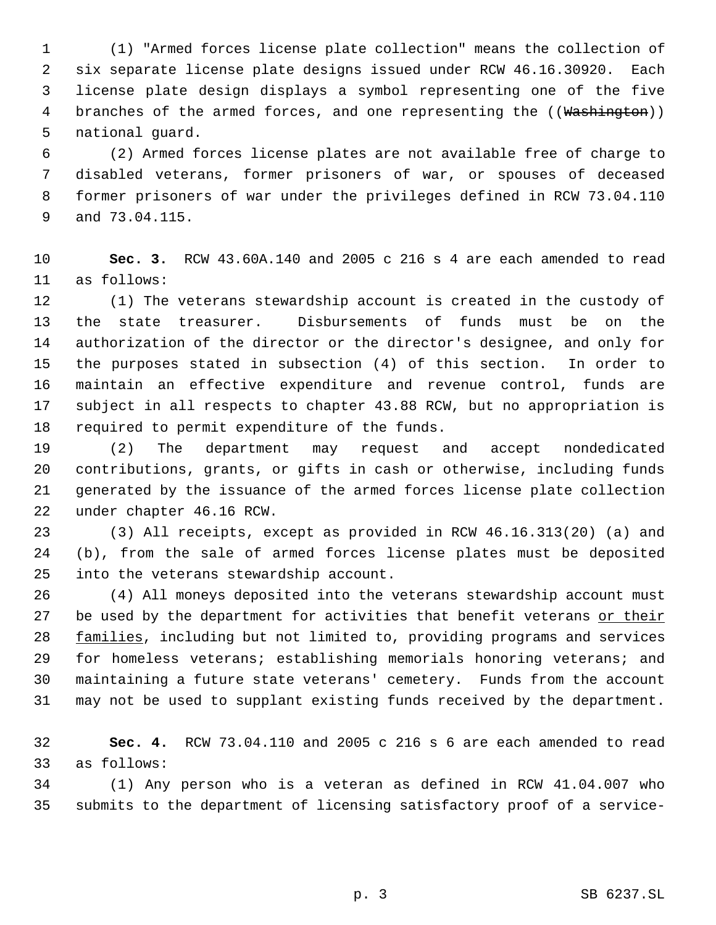(1) "Armed forces license plate collection" means the collection of six separate license plate designs issued under RCW 46.16.30920. Each license plate design displays a symbol representing one of the five 4 branches of the armed forces, and one representing the ((Washington)) national guard.

 (2) Armed forces license plates are not available free of charge to disabled veterans, former prisoners of war, or spouses of deceased former prisoners of war under the privileges defined in RCW 73.04.110 and 73.04.115.

 **Sec. 3.** RCW 43.60A.140 and 2005 c 216 s 4 are each amended to read as follows:

 (1) The veterans stewardship account is created in the custody of the state treasurer. Disbursements of funds must be on the authorization of the director or the director's designee, and only for the purposes stated in subsection (4) of this section. In order to maintain an effective expenditure and revenue control, funds are subject in all respects to chapter 43.88 RCW, but no appropriation is required to permit expenditure of the funds.

 (2) The department may request and accept nondedicated contributions, grants, or gifts in cash or otherwise, including funds generated by the issuance of the armed forces license plate collection under chapter 46.16 RCW.

 (3) All receipts, except as provided in RCW 46.16.313(20) (a) and (b), from the sale of armed forces license plates must be deposited into the veterans stewardship account.

 (4) All moneys deposited into the veterans stewardship account must 27 be used by the department for activities that benefit veterans or their 28 families, including but not limited to, providing programs and services for homeless veterans; establishing memorials honoring veterans; and maintaining a future state veterans' cemetery. Funds from the account may not be used to supplant existing funds received by the department.

 **Sec. 4.** RCW 73.04.110 and 2005 c 216 s 6 are each amended to read as follows:

 (1) Any person who is a veteran as defined in RCW 41.04.007 who submits to the department of licensing satisfactory proof of a service-